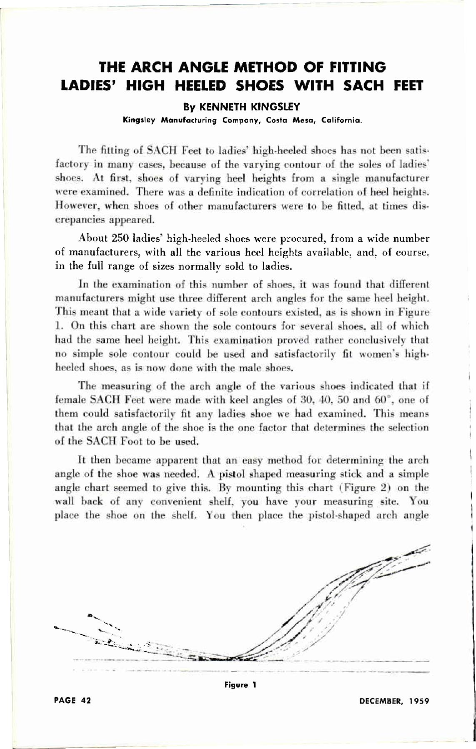## **THE ARCH ANGLE METHOD OF FITTING LADIES' HIGH HEELED SHOES WITH SACH FEET**

## **By KENNETH KINGSLEY**

**Kingsle y Manufacturin g Company , Cost a Mesa , California .** 

The fitting of SACH Feet to ladies' high-heeled shoes has not been satisfactory in many cases, because of the varying contour of the soles of ladies<sup>7</sup> shoes. At first, shoes of varying heel heights from a single manufacturer were examined. There was a definite indication of correlation of heel heights. However, when shoes of other manufacturers were to be **filled ,** at times discrepancies appeared.

About 250 ladies' high-heeled shoes were procured, from a wide number of manufacturers, with all the various heel heights available, and, of course, in the full range of sizes normally sold to ladies.

In the examination of this number of shoes, it was found that **different**  manufacturers might use three different arch angles for the same heel height. **This** meant that a wide variety of sole contours existed, as is shown in Figure 1. On this chart are shown the sole contours for several shoes, all of which had the same heel height. This examination proved rather conclusively that no simple sole contour could he used and satisfactorily **fit** women's highheeled shoes, as is now done with the male shoes.

The measuring of the arch angle of the various shoes indicated that if female SACH Feet were made with keel angles of 30, 40, 50 and 60°, one of them could satisfactorily fit any ladies shoe we had examined. This means that the arch angle of the shoe is the one factor that determines the selection of the SACH Foot to be used.

It then became apparent that an easy method for **determining** the arch angle of the shoe was needed. A pistol shaped measuring slick and **a** simple angle chart seemed to give this. By mounting this chart (Figure 2) on the wall back of any convenient shelf, you have your measuring site. You place the shoe on the shelf. You then place the pistol-shaped arch angle



PAGE 42

DECEMBER, 1959